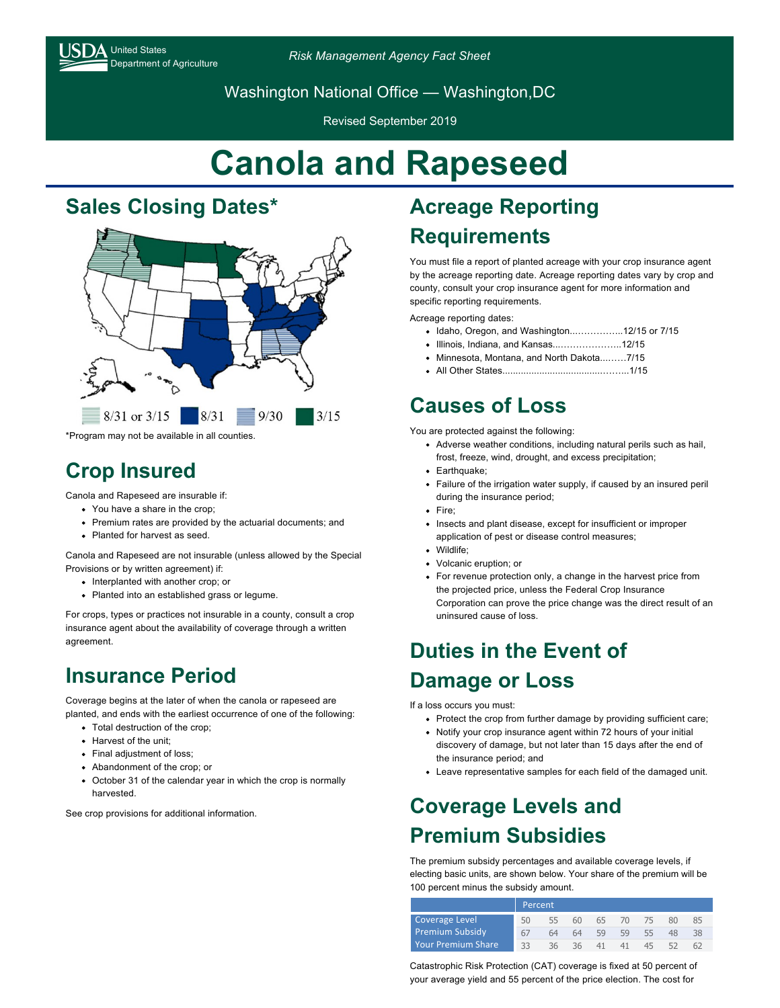# $\Delta$  United States

Department of Agriculture *Risk Management Agency Fact Sheet*

Washington National Office — Washington,DC

Revised September 2019

# **Canola and Rapeseed**

#### **Sales Closing Dates\***



\*Program may not be available in all counties.

#### **Crop Insured**

Canola and Rapeseed are insurable if:

- You have a share in the crop:
- Premium rates are provided by the actuarial documents; and
- Planted for harvest as seed.

Canola and Rapeseed are not insurable (unless allowed by the Special Provisions or by written agreement) if:

- Interplanted with another crop; or
- Planted into an established grass or legume.

For crops, types or practices not insurable in a county, consult a crop insurance agent about the availability of coverage through a written agreement.

### **Insurance Period**

Coverage begins at the later of when the canola or rapeseed are planted, and ends with the earliest occurrence of one of the following:

- Total destruction of the crop;
- **Harvest of the unit:**
- Final adjustment of loss;
- Abandonment of the crop; or
- October 31 of the calendar year in which the crop is normally harvested.

See crop provisions for additional information.

## **Acreage Reporting Requirements**

You must file a report of planted acreage with your crop insurance agent by the acreage reporting date. Acreage reporting dates vary by crop and county, consult your crop insurance agent for more information and specific reporting requirements.

Acreage reporting dates:

- Idaho, Oregon, and Washington...…………...12/15 or 7/15
- Illinois, Indiana, and Kansas...………………..12/15
- Minnesota, Montana, and North Dakota...……7/15
- All Other States......................................……...1/15

### **Causes of Loss**

You are protected against the following:

- Adverse weather conditions, including natural perils such as hail, frost, freeze, wind, drought, and excess precipitation;
- Earthquake;
- Failure of the irrigation water supply, if caused by an insured peril during the insurance period;
- Fire:
- Insects and plant disease, except for insufficient or improper application of pest or disease control measures;
- Wildlife;
- Volcanic eruption; or
- For revenue protection only, a change in the harvest price from the projected price, unless the Federal Crop Insurance Corporation can prove the price change was the direct result of an uninsured cause of loss.

#### **Duties in the Event of Damage or Loss**

If a loss occurs you must:

- Protect the crop from further damage by providing sufficient care;
- Notify your crop insurance agent within 72 hours of your initial discovery of damage, but not later than 15 days after the end of the insurance period; and
- Leave representative samples for each field of the damaged unit.

### **Coverage Levels and Premium Subsidies**

The premium subsidy percentages and available coverage levels, if electing basic units, are shown below. Your share of the premium will be 100 percent minus the subsidy amount.

|                           | Percent |    |    |    |    |    |    |    |
|---------------------------|---------|----|----|----|----|----|----|----|
| Coverage Level            | 50      | 55 | 60 | 65 | 70 |    | 80 | 85 |
| <b>Premium Subsidy</b>    | 67      | 64 | 64 | 59 | 59 | 55 | 48 | 38 |
| <b>Your Premium Share</b> | 33      | 36 | 36 | 41 | 41 | 45 |    |    |

Catastrophic Risk Protection (CAT) coverage is fixed at 50 percent of your average yield and 55 percent of the price election. The cost for